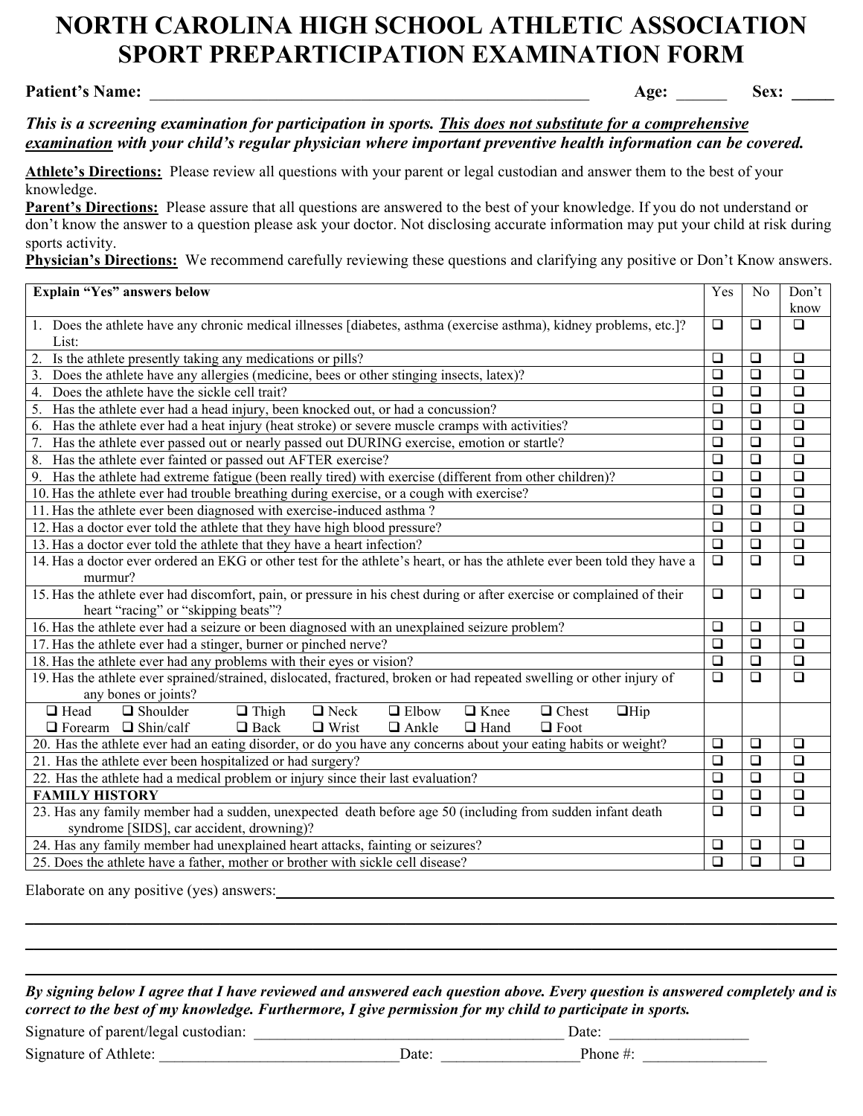# **NORTH CAROLINA HIGH SCHOOL ATHLETIC ASSOCIATION SPORT PREPARTICIPATION EXAMINATION FORM**

## **Patient's Name:** \_\_\_\_\_\_\_\_\_\_\_\_\_\_\_\_\_\_\_\_\_\_\_\_\_\_\_\_\_\_\_\_\_\_\_\_\_\_\_\_\_\_\_\_\_\_\_\_\_\_\_\_ **Age:** \_\_\_\_\_\_ **Sex: \_\_\_\_\_**

*This is a screening examination for participation in sports. This does not substitute for a comprehensive examination with your child's regular physician where important preventive health information can be covered.*

**Athlete's Directions:** Please review all questions with your parent or legal custodian and answer them to the best of your knowledge.

**Parent's Directions:** Please assure that all questions are answered to the best of your knowledge. If you do not understand or don't know the answer to a question please ask your doctor. Not disclosing accurate information may put your child at risk during sports activity.

**Physician's Directions:** We recommend carefully reviewing these questions and clarifying any positive or Don't Know answers.

| Explain "Yes" answers below                                                                                                | Yes                  | N <sub>0</sub>       | Don't                |
|----------------------------------------------------------------------------------------------------------------------------|----------------------|----------------------|----------------------|
|                                                                                                                            |                      |                      | know                 |
| 1. Does the athlete have any chronic medical illnesses [diabetes, asthma (exercise asthma), kidney problems, etc.]?        | $\Box$               | $\Box$               | $\Box$               |
| List:                                                                                                                      |                      |                      |                      |
| Is the athlete presently taking any medications or pills?<br>2.                                                            | $\Box$               | $\Box$               | $\Box$               |
| Does the athlete have any allergies (medicine, bees or other stinging insects, latex)?<br>3.                               | $\Box$               | $\Box$               | $\Box$               |
| Does the athlete have the sickle cell trait?<br>4.                                                                         | $\Box$               | $\Box$               | $\Box$               |
| Has the athlete ever had a head injury, been knocked out, or had a concussion?<br>5.                                       | $\Box$               | $\Box$               | $\Box$               |
| Has the athlete ever had a heat injury (heat stroke) or severe muscle cramps with activities?<br>6.                        | $\Box$               | $\Box$               | $\Box$               |
| 7.<br>Has the athlete ever passed out or nearly passed out DURING exercise, emotion or startle?                            | $\Box$               | $\Box$               | $\overline{\square}$ |
| Has the athlete ever fainted or passed out AFTER exercise?<br>8.                                                           | $\overline{\square}$ | $\overline{\square}$ | $\overline{\square}$ |
| Has the athlete had extreme fatigue (been really tired) with exercise (different from other children)?<br>9.               | $\Box$               | $\Box$               | $\overline{\square}$ |
| 10. Has the athlete ever had trouble breathing during exercise, or a cough with exercise?                                  | $\Box$               | $\Box$               | $\Box$               |
| 11. Has the athlete ever been diagnosed with exercise-induced asthma?                                                      | $\Box$               | $\Box$               | $\Box$               |
| 12. Has a doctor ever told the athlete that they have high blood pressure?                                                 | $\Box$               | $\Box$               | $\Box$               |
| 13. Has a doctor ever told the athlete that they have a heart infection?                                                   | $\Box$               | $\Box$               | $\Box$               |
| 14. Has a doctor ever ordered an EKG or other test for the athlete's heart, or has the athlete ever been told they have a  | $\Box$               | $\Box$               | $\Box$               |
| murmur?                                                                                                                    |                      |                      |                      |
| 15. Has the athlete ever had discomfort, pain, or pressure in his chest during or after exercise or complained of their    | $\Box$               | $\Box$               | $\Box$               |
| heart "racing" or "skipping beats"?                                                                                        |                      |                      |                      |
| 16. Has the athlete ever had a seizure or been diagnosed with an unexplained seizure problem?                              | $\Box$               | $\Box$               | $\Box$               |
| 17. Has the athlete ever had a stinger, burner or pinched nerve?                                                           | $\Box$               | $\Box$               | $\Box$               |
| 18. Has the athlete ever had any problems with their eyes or vision?                                                       | $\Box$               | $\Box$               | $\Box$               |
| 19. Has the athlete ever sprained/strained, dislocated, fractured, broken or had repeated swelling or other injury of      | $\Box$               | $\Box$               | $\Box$               |
| any bones or joints?                                                                                                       |                      |                      |                      |
| $\Box$ Head<br>$\Box$ Thigh<br>$\Box$ Neck<br>$\Box$ Elbow<br>$\Box$ Knee<br>$\Box$ Chest<br>$\Box$ Shoulder<br>$\Box$ Hip |                      |                      |                      |
| $\Box$ Forearm $\Box$ Shin/calf<br>$\Box$ Back<br>$\Box$ Wrist<br>$\Box$ Ankle<br>$\Box$ Hand<br>$\Box$ Foot               |                      |                      |                      |
| 20. Has the athlete ever had an eating disorder, or do you have any concerns about your eating habits or weight?           | $\Box$               | $\Box$               | $\Box$               |
| 21. Has the athlete ever been hospitalized or had surgery?                                                                 | $\Box$               | $\Box$               | $\Box$               |
| 22. Has the athlete had a medical problem or injury since their last evaluation?                                           | $\Box$               | $\Box$               | $\Box$               |
| <b>FAMILY HISTORY</b>                                                                                                      | $\Box$               | $\Box$               | $\Box$               |
| 23. Has any family member had a sudden, unexpected death before age 50 (including from sudden infant death                 |                      |                      | $\Box$               |
| syndrome [SIDS], car accident, drowning)?                                                                                  |                      |                      |                      |
| 24. Has any family member had unexplained heart attacks, fainting or seizures?                                             |                      |                      | $\Box$               |
| 25. Does the athlete have a father, mother or brother with sickle cell disease?                                            | $\Box$               | $\Box$               | $\overline{\square}$ |

Elaborate on any positive (yes) answers:

*By signing below I agree that I have reviewed and answered each question above. Every question is answered completely and is correct to the best of my knowledge. Furthermore, I give permission for my child to participate in sports.* Signature of parent/legal custodian: \_\_\_\_\_\_\_\_\_\_\_\_\_\_\_\_\_\_\_\_\_\_\_\_\_\_\_\_\_\_\_\_\_\_\_\_\_\_\_\_ Date: \_\_\_\_\_\_\_\_\_\_\_\_\_\_\_\_\_\_

\_\_\_\_\_\_\_\_\_\_\_\_\_\_\_\_\_\_\_\_\_\_\_\_\_\_\_\_\_\_\_\_\_\_\_\_\_\_\_\_\_\_\_\_\_\_\_\_\_\_\_\_\_\_\_\_\_\_\_\_\_\_\_\_\_\_\_\_\_\_\_\_\_\_\_\_\_\_\_\_\_\_\_\_\_\_\_\_\_\_\_\_\_\_\_\_ \_\_\_\_\_\_\_\_\_\_\_\_\_\_\_\_\_\_\_\_\_\_\_\_\_\_\_\_\_\_\_\_\_\_\_\_\_\_\_\_\_\_\_\_\_\_\_\_\_\_\_\_\_\_\_\_\_\_\_\_\_\_\_\_\_\_\_\_\_\_\_\_\_\_\_\_\_\_\_\_\_\_\_\_\_\_\_\_\_\_\_\_\_\_\_\_ \_\_\_\_\_\_\_\_\_\_\_\_\_\_\_\_\_\_\_\_\_\_\_\_\_\_\_\_\_\_\_\_\_\_\_\_\_\_\_\_\_\_\_\_\_\_\_\_\_\_\_\_\_\_\_\_\_\_\_\_\_\_\_\_\_\_\_\_\_\_\_\_\_\_\_\_\_\_\_\_\_\_\_\_\_\_\_\_\_\_\_\_\_\_\_\_

| Signature of parent/legal custodian: |              | Jate:     |  |
|--------------------------------------|--------------|-----------|--|
| Signature of Athlete:                | <b>J</b> ate | Phone $#$ |  |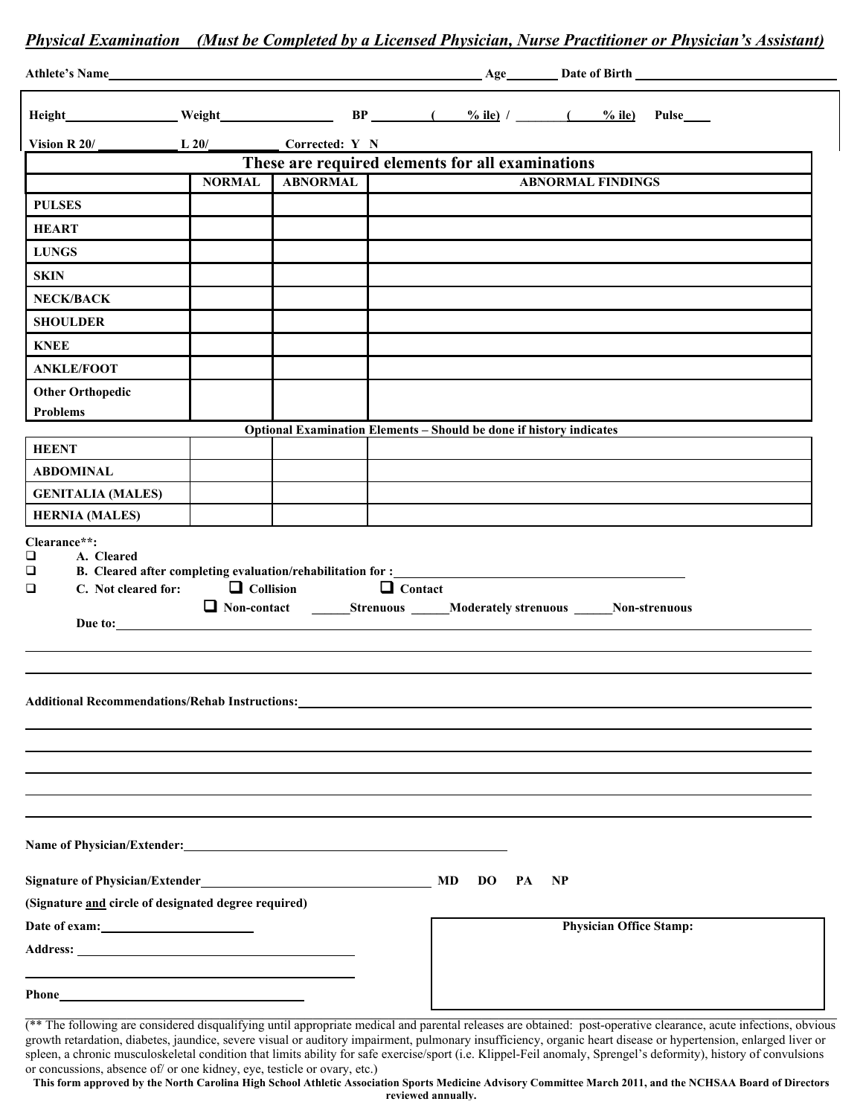## *Physical Examination (Must be Completed by a Licensed Physician, Nurse Practitioner or Physician's Assistant)*

| Vision $R$ 20/                                                                                                                                                                                                                |               | L 20/ Corrected: Y N |                                                                                                                                                                                      |                                |
|-------------------------------------------------------------------------------------------------------------------------------------------------------------------------------------------------------------------------------|---------------|----------------------|--------------------------------------------------------------------------------------------------------------------------------------------------------------------------------------|--------------------------------|
| These are required elements for all examinations                                                                                                                                                                              |               |                      |                                                                                                                                                                                      |                                |
|                                                                                                                                                                                                                               | <b>NORMAL</b> | <b>ABNORMAL</b>      |                                                                                                                                                                                      | <b>ABNORMAL FINDINGS</b>       |
| <b>PULSES</b>                                                                                                                                                                                                                 |               |                      |                                                                                                                                                                                      |                                |
| <b>HEART</b>                                                                                                                                                                                                                  |               |                      |                                                                                                                                                                                      |                                |
| <b>LUNGS</b>                                                                                                                                                                                                                  |               |                      |                                                                                                                                                                                      |                                |
| <b>SKIN</b>                                                                                                                                                                                                                   |               |                      |                                                                                                                                                                                      |                                |
| <b>NECK/BACK</b>                                                                                                                                                                                                              |               |                      |                                                                                                                                                                                      |                                |
| <b>SHOULDER</b>                                                                                                                                                                                                               |               |                      |                                                                                                                                                                                      |                                |
| <b>KNEE</b>                                                                                                                                                                                                                   |               |                      |                                                                                                                                                                                      |                                |
| <b>ANKLE/FOOT</b>                                                                                                                                                                                                             |               |                      |                                                                                                                                                                                      |                                |
| <b>Other Orthopedic</b>                                                                                                                                                                                                       |               |                      |                                                                                                                                                                                      |                                |
| Problems                                                                                                                                                                                                                      |               |                      |                                                                                                                                                                                      |                                |
| <b>HEENT</b>                                                                                                                                                                                                                  |               |                      | Optional Examination Elements - Should be done if history indicates                                                                                                                  |                                |
| <b>ABDOMINAL</b>                                                                                                                                                                                                              |               |                      |                                                                                                                                                                                      |                                |
| <b>GENITALIA (MALES)</b>                                                                                                                                                                                                      |               |                      |                                                                                                                                                                                      |                                |
| <b>HERNIA (MALES)</b>                                                                                                                                                                                                         |               |                      |                                                                                                                                                                                      |                                |
| $\Box$<br>C. Not cleared for: $\Box$ Collision<br>$\Box$                                                                                                                                                                      |               | Due to:              | B. Cleared after completing evaluation/rehabilitation for :_____________________<br>$\Box$ Contact<br>□ Non-contact ________Strenuous ______Moderately strenuous ______Non-strenuous |                                |
|                                                                                                                                                                                                                               |               |                      | Additional Recommendations/Rehab Instructions: New York 2014 19:30 19:40                                                                                                             |                                |
| (Signature and circle of designated degree required)                                                                                                                                                                          |               |                      | MD<br><b>DO</b><br>PA<br><b>NP</b>                                                                                                                                                   | <b>Physician Office Stamp:</b> |
| Phone Phone Phone Phone Phone Phone Phone Phone Phone Phone Phone Phone Phone Phone Phone Phone Phone Phone Phone Phone Phone Phone Phone Phone Phone Phone Phone Phone Phone Phone Phone Phone Phone Phone Phone Phone Phone |               |                      |                                                                                                                                                                                      |                                |
|                                                                                                                                                                                                                               |               |                      |                                                                                                                                                                                      |                                |

(\*\* The following are considered disqualifying until appropriate medical and parental releases are obtained: post-operative clearance, acute infections, obvious growth retardation, diabetes, jaundice, severe visual or auditory impairment, pulmonary insufficiency, organic heart disease or hypertension, enlarged liver or spleen, a chronic musculoskeletal condition that limits ability for safe exercise/sport (i.e. Klippel-Feil anomaly, Sprengel's deformity), history of convulsions or concussions, absence of/ or one kidney, eye, testicle or ovary, etc.)

**This form approved by the North Carolina High School Athletic Association Sports Medicine Advisory Committee March 2011, and the NCHSAA Board of Directors reviewed annually.**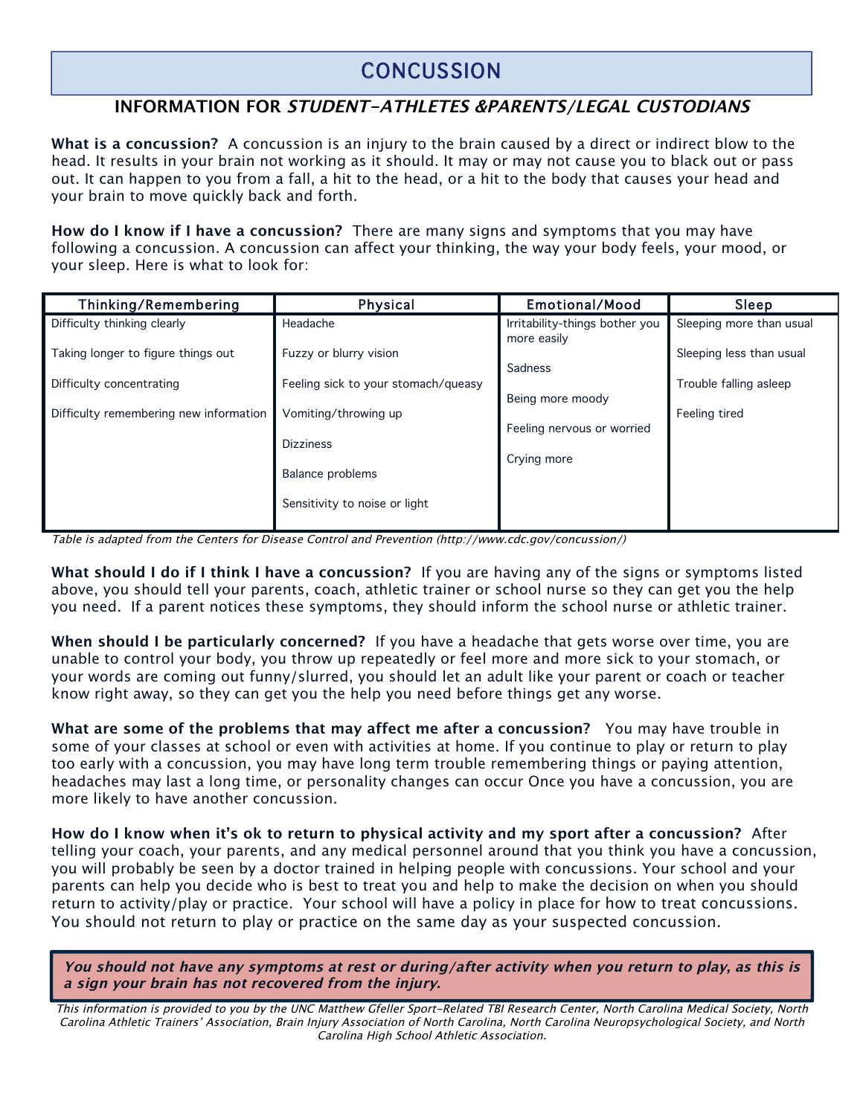## **CONCUSSION**

## **INFORMATION FOR STUDENT-ATHLETES &PARENTS/LEGAL CUSTODIANS**

**What is a concussion?** A concussion is an injury to the brain caused by a direct or indirect blow to the head. It results in your brain not working as it should. It may or may not cause you to black out or pass out. It can happen to you from a fall, a hit to the head, or a hit to the body that causes your head and your brain to move quickly back and forth.

**How do I know if I have a concussion?** There are many signs and symptoms that you may have following a concussion. A concussion can affect your thinking, the way your body feels, your mood, or your sleep. Here is what to look for:

| Thinking/Remembering                   | Physical                            | Emotional/Mood                                | Sleep                    |
|----------------------------------------|-------------------------------------|-----------------------------------------------|--------------------------|
| Difficulty thinking clearly            | Headache                            | Irritability-things bother you<br>more easily | Sleeping more than usual |
| Taking longer to figure things out     | Fuzzy or blurry vision              | Sadness                                       | Sleeping less than usual |
| Difficulty concentrating               | Feeling sick to your stomach/queasy | Being more moody                              | Trouble falling asleep   |
| Difficulty remembering new information | Vomiting/throwing up                | Feeling nervous or worried                    | Feeling tired            |
|                                        | <b>Dizziness</b>                    | Crying more                                   |                          |
|                                        | Balance problems                    |                                               |                          |
|                                        | Sensitivity to noise or light       |                                               |                          |

Table is adapted from the Centers for Disease Control and Prevention (http://www.cdc.gov/concussion/)

**What should I do if I think I have a concussion?** If you are having any of the signs or symptoms listed above, you should tell your parents, coach, athletic trainer or school nurse so they can get you the help you need. If a parent notices these symptoms, they should inform the school nurse or athletic trainer.

**When should I be particularly concerned?** If you have a headache that gets worse over time, you are unable to control your body, you throw up repeatedly or feel more and more sick to your stomach, or your words are coming out funny/slurred, you should let an adult like your parent or coach or teacher know right away, so they can get you the help you need before things get any worse.

**What are some of the problems that may affect me after a concussion?** You may have trouble in some of your classes at school or even with activities at home. If you continue to play or return to play too early with a concussion, you may have long term trouble remembering things or paying attention, headaches may last a long time, or personality changes can occur Once you have a concussion, you are more likely to have another concussion.

**How do I know when it's ok to return to physical activity and my sport after a concussion?** After telling your coach, your parents, and any medical personnel around that you think you have a concussion, you will probably be seen by a doctor trained in helping people with concussions. Your school and your parents can help you decide who is best to treat you and help to make the decision on when you should return to activity/play or practice. Your school will have a policy in place for how to treat concussions. You should not return to play or practice on the same day as your suspected concussion.

**You should not have any symptoms at rest or during/after activity when you return to play, as this is a sign your brain has not recovered from the injury.** 

This information is provided to you by the UNC Matthew Gfeller Sport-Related TBI Research Center, North Carolina Medical Society, North Carolina Athletic Trainers' Association, Brain Injury Association of North Carolina, North Carolina Neuropsychological Society, and North Carolina High School Athletic Association.